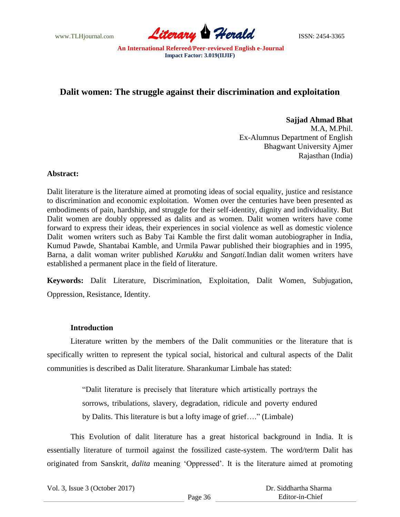

# **Dalit women: The struggle against their discrimination and exploitation**

**Sajjad Ahmad Bhat** M.A, M.Phil. Ex-Alumnus Department of English Bhagwant University Ajmer Rajasthan (India)

## **Abstract:**

Dalit literature is the literature aimed at promoting ideas of social equality, justice and resistance to discrimination and economic exploitation. Women over the centuries have been presented as embodiments of pain, hardship, and struggle for their self-identity, dignity and individuality. But Dalit women are doubly oppressed as dalits and as women. Dalit women writers have come forward to express their ideas, their experiences in social violence as well as domestic violence Dalit women writers such as Baby Tai Kamble the first dalit woman autobiographer in India, Kumud Pawde, Shantabai Kamble, and Urmila Pawar published their biographies and in 1995, Barna, a dalit woman writer published *Karukku* and *Sangati.*Indian dalit women writers have established a permanent place in the field of literature.

**Keywords:** Dalit Literature, Discrimination, Exploitation, Dalit Women, Subjugation, Oppression, Resistance, Identity.

## **Introduction**

Literature written by the members of the Dalit communities or the literature that is specifically written to represent the typical social, historical and cultural aspects of the Dalit communities is described as Dalit literature. Sharankumar Limbale has stated:

> "Dalit literature is precisely that literature which artistically portrays the sorrows, tribulations, slavery, degradation, ridicule and poverty endured by Dalits. This literature is but a lofty image of grief…." (Limbale)

This Evolution of dalit literature has a great historical background in India. It is essentially literature of turmoil against the fossilized caste-system. The word/term Dalit has originated from Sanskrit, *dalita* meaning "Oppressed". It is the literature aimed at promoting

Vol. 3, Issue 3 (October 2017)

 Dr. Siddhartha Sharma Editor-in-Chief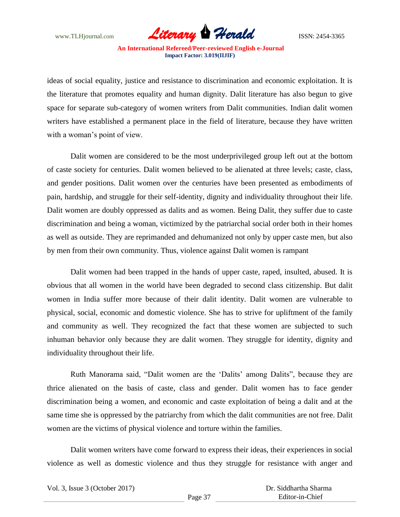

ideas of social equality, justice and resistance to discrimination and economic exploitation. It is the literature that promotes equality and human dignity. Dalit literature has also begun to give space for separate sub-category of women writers from Dalit communities. Indian dalit women writers have established a permanent place in the field of literature, because they have written with a woman's point of view.

Dalit women are considered to be the most underprivileged group left out at the bottom of caste society for centuries. Dalit women believed to be alienated at three levels; caste, class, and gender positions. Dalit women over the centuries have been presented as embodiments of pain, hardship, and struggle for their self-identity, dignity and individuality throughout their life. Dalit women are doubly oppressed as dalits and as women. Being Dalit, they suffer due to caste discrimination and being a woman, victimized by the patriarchal social order both in their homes as well as outside. They are reprimanded and dehumanized not only by upper caste men, but also by men from their own community. Thus, violence against Dalit women is rampant

Dalit women had been trapped in the hands of upper caste, raped, insulted, abused. It is obvious that all women in the world have been degraded to second class citizenship. But dalit women in India suffer more because of their dalit identity. Dalit women are vulnerable to physical, social, economic and domestic violence. She has to strive for upliftment of the family and community as well. They recognized the fact that these women are subjected to such inhuman behavior only because they are dalit women. They struggle for identity, dignity and individuality throughout their life.

Ruth Manorama said, "Dalit women are the "Dalits" among Dalits", because they are thrice alienated on the basis of caste, class and gender. Dalit women has to face gender discrimination being a women, and economic and caste exploitation of being a dalit and at the same time she is oppressed by the patriarchy from which the dalit communities are not free. Dalit women are the victims of physical violence and torture within the families.

Dalit women writers have come forward to express their ideas, their experiences in social violence as well as domestic violence and thus they struggle for resistance with anger and

|  |  | Vol. 3, Issue 3 (October 2017) |  |
|--|--|--------------------------------|--|
|--|--|--------------------------------|--|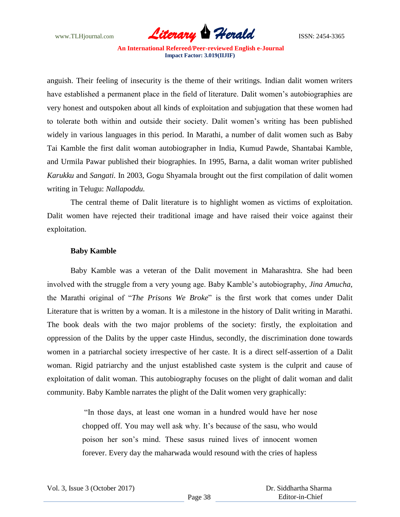

anguish. Their feeling of insecurity is the theme of their writings. Indian dalit women writers have established a permanent place in the field of literature. Dalit women's autobiographies are very honest and outspoken about all kinds of exploitation and subjugation that these women had to tolerate both within and outside their society. Dalit women"s writing has been published widely in various languages in this period. In Marathi, a number of dalit women such as Baby Tai Kamble the first dalit woman autobiographer in India, Kumud Pawde, Shantabai Kamble, and Urmila Pawar published their biographies. In 1995, Barna, a dalit woman writer published *Karukku* and *Sangati.* In 2003, Gogu Shyamala brought out the first compilation of dalit women writing in Telugu: *Nallapoddu.* 

The central theme of Dalit literature is to highlight women as victims of exploitation. Dalit women have rejected their traditional image and have raised their voice against their exploitation.

### **Baby Kamble**

Baby Kamble was a veteran of the Dalit movement in Maharashtra. She had been involved with the struggle from a very young age. Baby Kamble"s autobiography, *Jina Amucha,*  the Marathi original of "*The Prisons We Broke*" is the first work that comes under Dalit Literature that is written by a woman. It is a milestone in the history of Dalit writing in Marathi. The book deals with the two major problems of the society: firstly, the exploitation and oppression of the Dalits by the upper caste Hindus, secondly, the discrimination done towards women in a patriarchal society irrespective of her caste. It is a direct self-assertion of a Dalit woman. Rigid patriarchy and the unjust established caste system is the culprit and cause of exploitation of dalit woman. This autobiography focuses on the plight of dalit woman and dalit community. Baby Kamble narrates the plight of the Dalit women very graphically:

> "In those days, at least one woman in a hundred would have her nose chopped off. You may well ask why. It's because of the sasu, who would poison her son"s mind. These sasus ruined lives of innocent women forever. Every day the maharwada would resound with the cries of hapless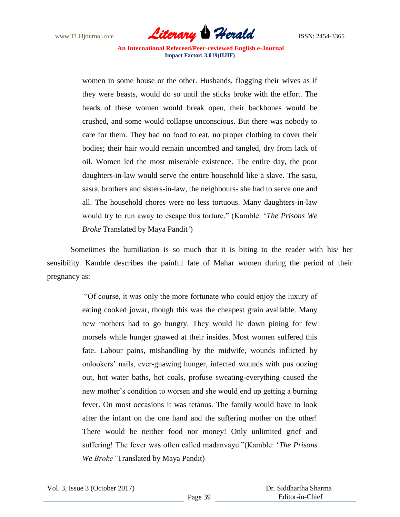

women in some house or the other. Husbands, flogging their wives as if they were beasts, would do so until the sticks broke with the effort. The heads of these women would break open, their backbones would be crushed, and some would collapse unconscious. But there was nobody to care for them. They had no food to eat, no proper clothing to cover their bodies; their hair would remain uncombed and tangled, dry from lack of oil. Women led the most miserable existence. The entire day, the poor daughters-in-law would serve the entire household like a slave. The sasu, sasra, brothers and sisters-in-law, the neighbours- she had to serve one and all. The household chores were no less tortuous. Many daughters-in-law would try to run away to escape this torture." (Kamble: "*The Prisons We Broke* Translated by Maya Pandit*'*)

Sometimes the humiliation is so much that it is biting to the reader with his/ her sensibility. Kamble describes the painful fate of Mahar women during the period of their pregnancy as:

> "Of course, it was only the more fortunate who could enjoy the luxury of eating cooked jowar, though this was the cheapest grain available. Many new mothers had to go hungry. They would lie down pining for few morsels while hunger gnawed at their insides. Most women suffered this fate. Labour pains, mishandling by the midwife, wounds inflicted by onlookers" nails, ever-gnawing hunger, infected wounds with pus oozing out, hot water baths, hot coals, profuse sweating-everything caused the new mother"s condition to worsen and she would end up getting a burning fever. On most occasions it was tetanus. The family would have to look after the infant on the one hand and the suffering mother on the other! There would be neither food nor money! Only unlimited grief and suffering! The fever was often called madanvayu."(Kamble: "*The Prisons We Broke'* Translated by Maya Pandit)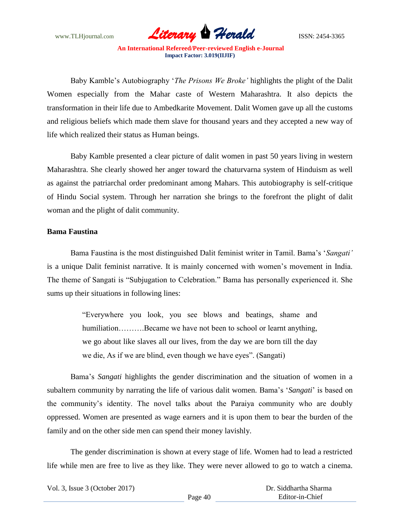

Baby Kamble"s Autobiography "*The Prisons We Broke'* highlights the plight of the Dalit Women especially from the Mahar caste of Western Maharashtra. It also depicts the transformation in their life due to Ambedkarite Movement. Dalit Women gave up all the customs and religious beliefs which made them slave for thousand years and they accepted a new way of life which realized their status as Human beings.

Baby Kamble presented a clear picture of dalit women in past 50 years living in western Maharashtra. She clearly showed her anger toward the chaturvarna system of Hinduism as well as against the patriarchal order predominant among Mahars. This autobiography is self-critique of Hindu Social system. Through her narration she brings to the forefront the plight of dalit woman and the plight of dalit community.

#### **Bama Faustina**

Bama Faustina is the most distinguished Dalit feminist writer in Tamil. Bama"s "*Sangati'*  is a unique Dalit feminist narrative. It is mainly concerned with women"s movement in India. The theme of Sangati is "Subjugation to Celebration." Bama has personally experienced it. She sums up their situations in following lines:

> "Everywhere you look, you see blows and beatings, shame and humiliation……….Became we have not been to school or learnt anything, we go about like slaves all our lives, from the day we are born till the day we die, As if we are blind, even though we have eyes". (Sangati)

Bama"s *Sangati* highlights the gender discrimination and the situation of women in a subaltern community by narrating the life of various dalit women. Bama"s "*Sangati*" is based on the community"s identity. The novel talks about the Paraiya community who are doubly oppressed. Women are presented as wage earners and it is upon them to bear the burden of the family and on the other side men can spend their money lavishly.

The gender discrimination is shown at every stage of life. Women had to lead a restricted life while men are free to live as they like. They were never allowed to go to watch a cinema.

Vol. 3, Issue 3 (October 2017)

 Dr. Siddhartha Sharma Editor-in-Chief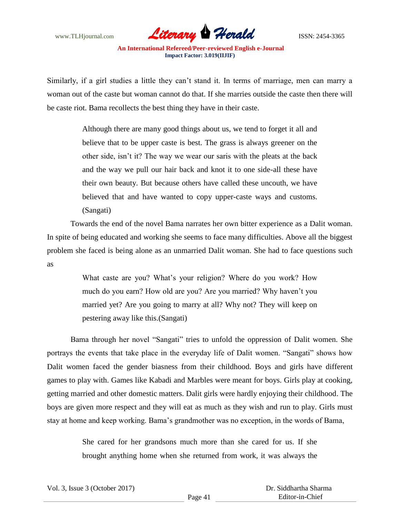

Similarly, if a girl studies a little they can"t stand it. In terms of marriage, men can marry a woman out of the caste but woman cannot do that. If she marries outside the caste then there will be caste riot. Bama recollects the best thing they have in their caste.

> Although there are many good things about us, we tend to forget it all and believe that to be upper caste is best. The grass is always greener on the other side, isn"t it? The way we wear our saris with the pleats at the back and the way we pull our hair back and knot it to one side-all these have their own beauty. But because others have called these uncouth, we have believed that and have wanted to copy upper-caste ways and customs. (Sangati)

Towards the end of the novel Bama narrates her own bitter experience as a Dalit woman. In spite of being educated and working she seems to face many difficulties. Above all the biggest problem she faced is being alone as an unmarried Dalit woman. She had to face questions such as

> What caste are you? What"s your religion? Where do you work? How much do you earn? How old are you? Are you married? Why haven"t you married yet? Are you going to marry at all? Why not? They will keep on pestering away like this.(Sangati)

Bama through her novel "Sangati" tries to unfold the oppression of Dalit women. She portrays the events that take place in the everyday life of Dalit women. "Sangati" shows how Dalit women faced the gender biasness from their childhood. Boys and girls have different games to play with. Games like Kabadi and Marbles were meant for boys. Girls play at cooking, getting married and other domestic matters. Dalit girls were hardly enjoying their childhood. The boys are given more respect and they will eat as much as they wish and run to play. Girls must stay at home and keep working. Bama"s grandmother was no exception, in the words of Bama,

> She cared for her grandsons much more than she cared for us. If she brought anything home when she returned from work, it was always the

|  |  | Vol. 3, Issue 3 (October 2017) |  |
|--|--|--------------------------------|--|
|--|--|--------------------------------|--|

 Dr. Siddhartha Sharma Editor-in-Chief